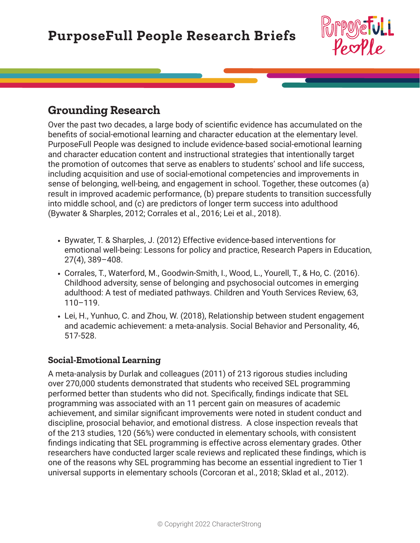

## **Grounding Research**

Over the past two decades, a large body of scientific evidence has accumulated on the benefits of social-emotional learning and character education at the elementary level. PurposeFull People was designed to include evidence-based social-emotional learning and character education content and instructional strategies that intentionally target the promotion of outcomes that serve as enablers to students' school and life success, including acquisition and use of social-emotional competencies and improvements in sense of belonging, well-being, and engagement in school. Together, these outcomes (a) result in improved academic performance, (b) prepare students to transition successfully into middle school, and (c) are predictors of longer term success into adulthood (Bywater & Sharples, 2012; Corrales et al., 2016; Lei et al., 2018).

- **•** Bywater, T. & Sharples, J. (2012) Effective evidence-based interventions for emotional well-being: Lessons for policy and practice, Research Papers in Education, 27(4), 389–408.
- **•** Corrales, T., Waterford, M., Goodwin-Smith, I., Wood, L., Yourell, T., & Ho, C. (2016). Childhood adversity, sense of belonging and psychosocial outcomes in emerging adulthood: A test of mediated pathways. Children and Youth Services Review, 63, 110–119.
- **•** Lei, H., Yunhuo, C. and Zhou, W. (2018), Relationship between student engagement and academic achievement: a meta-analysis. Social Behavior and Personality, 46, 517-528.

## **Social-Emotional Learning**

A meta-analysis by Durlak and colleagues (2011) of 213 rigorous studies including over 270,000 students demonstrated that students who received SEL programming performed better than students who did not. Specifically, findings indicate that SEL programming was associated with an 11 percent gain on measures of academic achievement, and similar significant improvements were noted in student conduct and discipline, prosocial behavior, and emotional distress. A close inspection reveals that of the 213 studies, 120 (56%) were conducted in elementary schools, with consistent findings indicating that SEL programming is effective across elementary grades. Other researchers have conducted larger scale reviews and replicated these findings, which is one of the reasons why SEL programming has become an essential ingredient to Tier 1 universal supports in elementary schools (Corcoran et al., 2018; Sklad et al., 2012).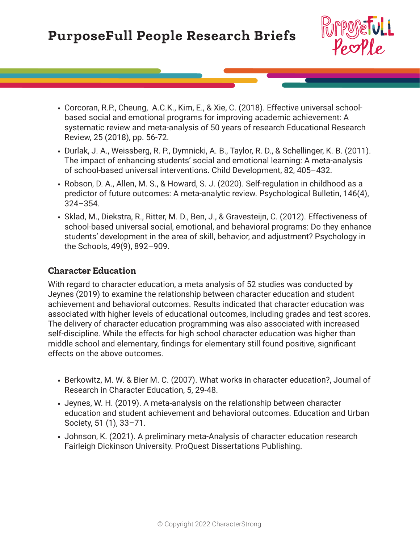

- **•** Corcoran, R.P., Cheung, A.C.K., Kim, E., & Xie, C. (2018). Effective universal schoolbased social and emotional programs for improving academic achievement: A systematic review and meta-analysis of 50 years of research Educational Research Review, 25 (2018), pp. 56-72.
- **•** Durlak, J. A., Weissberg, R. P., Dymnicki, A. B., Taylor, R. D., & Schellinger, K. B. (2011). The impact of enhancing students' social and emotional learning: A meta-analysis of school-based universal interventions. Child Development, 82, 405–432.
- **•** Robson, D. A., Allen, M. S., & Howard, S. J. (2020). Self-regulation in childhood as a predictor of future outcomes: A meta-analytic review. Psychological Bulletin, 146(4), 324–354.
- **•** Sklad, M., Diekstra, R., Ritter, M. D., Ben, J., & Gravesteijn, C. (2012). Effectiveness of school-based universal social, emotional, and behavioral programs: Do they enhance students' development in the area of skill, behavior, and adjustment? Psychology in the Schools, 49(9), 892–909.

### **Character Education**

With regard to character education, a meta analysis of 52 studies was conducted by Jeynes (2019) to examine the relationship between character education and student achievement and behavioral outcomes. Results indicated that character education was associated with higher levels of educational outcomes, including grades and test scores. The delivery of character education programming was also associated with increased self-discipline. While the effects for high school character education was higher than middle school and elementary, findings for elementary still found positive, significant effects on the above outcomes.

- **•** Berkowitz, M. W. & Bier M. C. (2007). What works in character education?, Journal of Research in Character Education, 5, 29-48.
- **•** Jeynes, W. H. (2019). A meta-analysis on the relationship between character education and student achievement and behavioral outcomes. Education and Urban Society, 51 (1), 33–71.
- **•** Johnson, K. (2021). A preliminary meta-Analysis of character education research Fairleigh Dickinson University. ProQuest Dissertations Publishing.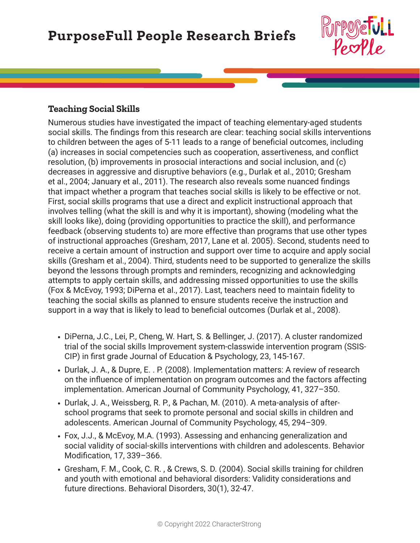

### **Teaching Social Skills**

Numerous studies have investigated the impact of teaching elementary-aged students social skills. The findings from this research are clear: teaching social skills interventions to children between the ages of 5-11 leads to a range of beneficial outcomes, including (a) increases in social competencies such as cooperation, assertiveness, and conflict resolution, (b) improvements in prosocial interactions and social inclusion, and (c) decreases in aggressive and disruptive behaviors (e.g., Durlak et al., 2010; Gresham et al., 2004; January et al., 2011). The research also reveals some nuanced findings that impact whether a program that teaches social skills is likely to be effective or not. First, social skills programs that use a direct and explicit instructional approach that involves telling (what the skill is and why it is important), showing (modeling what the skill looks like), doing (providing opportunities to practice the skill), and performance feedback (observing students to) are more effective than programs that use other types of instructional approaches (Gresham, 2017, Lane et al. 2005). Second, students need to receive a certain amount of instruction and support over time to acquire and apply social skills (Gresham et al., 2004). Third, students need to be supported to generalize the skills beyond the lessons through prompts and reminders, recognizing and acknowledging attempts to apply certain skills, and addressing missed opportunities to use the skills (Fox & McEvoy, 1993; DiPerna et al., 2017). Last, teachers need to maintain fidelity to teaching the social skills as planned to ensure students receive the instruction and support in a way that is likely to lead to beneficial outcomes (Durlak et al., 2008).

- **•** DiPerna, J.C., Lei, P., Cheng, W. Hart, S. & Bellinger, J. (2017). A cluster randomized trial of the social skills Improvement system-classwide intervention program (SSIS-CIP) in first grade Journal of Education & Psychology, 23, 145-167.
- **•** Durlak, J. A., & Dupre, E. . P. (2008). Implementation matters: A review of research on the influence of implementation on program outcomes and the factors affecting implementation. American Journal of Community Psychology, 41, 327–350.
- **•** Durlak, J. A., Weissberg, R. P., & Pachan, M. (2010). A meta-analysis of afterschool programs that seek to promote personal and social skills in children and adolescents. American Journal of Community Psychology, 45, 294–309.
- **•** Fox, J.J., & McEvoy, M.A. (1993). Assessing and enhancing generalization and social validity of social-skills interventions with children and adolescents. Behavior Modification, 17, 339–366.
- **•** Gresham, F. M., Cook, C. R. , & Crews, S. D. (2004). Social skills training for children and youth with emotional and behavioral disorders: Validity considerations and future directions. Behavioral Disorders, 30(1), 32-47.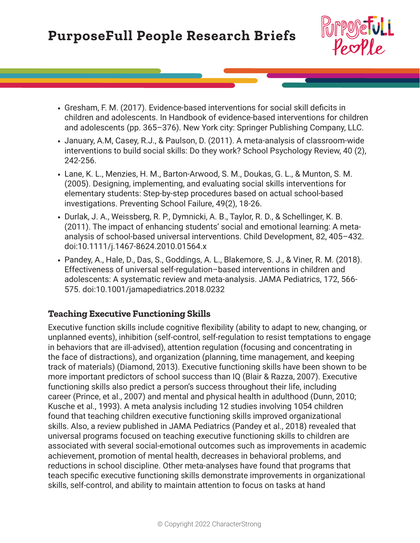

- **•** Gresham, F. M. (2017). Evidence-based interventions for social skill deficits in children and adolescents. In Handbook of evidence-based interventions for children and adolescents (pp. 365–376). New York city: Springer Publishing Company, LLC.
- **•** January, A.M, Casey, R.J., & Paulson, D. (2011). A meta-analysis of classroom-wide interventions to build social skills: Do they work? School Psychology Review, 40 (2), 242-256.
- **•** Lane, K. L., Menzies, H. M., Barton-Arwood, S. M., Doukas, G. L., & Munton, S. M. (2005). Designing, implementing, and evaluating social skills interventions for elementary students: Step-by-step procedures based on actual school-based investigations. Preventing School Failure, 49(2), 18-26.
- **•** Durlak, J. A., Weissberg, R. P., Dymnicki, A. B., Taylor, R. D., & Schellinger, K. B. (2011). The impact of enhancing students' social and emotional learning: A metaanalysis of school-based universal interventions. Child Development, 82, 405–432. doi:10.1111/j.1467-8624.2010.01564.x
- **•** Pandey, A., Hale, D., Das, S., Goddings, A. L., Blakemore, S. J., & Viner, R. M. (2018). Effectiveness of universal self-regulation–based interventions in children and adolescents: A systematic review and meta-analysis. JAMA Pediatrics, 172, 566- 575. doi:10.1001/jamapediatrics.2018.0232

#### **Teaching Executive Functioning Skills**

Executive function skills include cognitive flexibility (ability to adapt to new, changing, or unplanned events), inhibition (self-control, self-regulation to resist temptations to engage in behaviors that are ill-advised), attention regulation (focusing and concentrating in the face of distractions), and organization (planning, time management, and keeping track of materials) (Diamond, 2013). Executive functioning skills have been shown to be more important predictors of school success than IQ (Blair & Razza, 2007). Executive functioning skills also predict a person's success throughout their life, including career (Prince, et al., 2007) and mental and physical health in adulthood (Dunn, 2010; Kusche et al., 1993). A meta analysis including 12 studies involving 1054 children found that teaching children executive functioning skills improved organizational skills. Also, a review published in JAMA Pediatrics (Pandey et al., 2018) revealed that universal programs focused on teaching executive functioning skills to children are associated with several social-emotional outcomes such as improvements in academic achievement, promotion of mental health, decreases in behavioral problems, and reductions in school discipline. Other meta-analyses have found that programs that teach specific executive functioning skills demonstrate improvements in organizational skills, self-control, and ability to maintain attention to focus on tasks at hand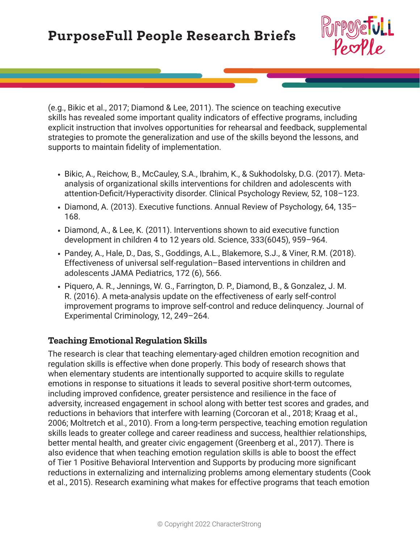

(e.g., Bikic et al., 2017; Diamond & Lee, 2011). The science on teaching executive skills has revealed some important quality indicators of effective programs, including explicit instruction that involves opportunities for rehearsal and feedback, supplemental strategies to promote the generalization and use of the skills beyond the lessons, and supports to maintain fidelity of implementation.

- **•** Bikic, A., Reichow, B., McCauley, S.A., Ibrahim, K., & Sukhodolsky, D.G. (2017). Metaanalysis of organizational skills interventions for children and adolescents with attention-Deficit/Hyperactivity disorder. Clinical Psychology Review, 52, 108–123.
- **•** Diamond, A. (2013). Executive functions. Annual Review of Psychology, 64, 135– 168.
- **•** Diamond, A., & Lee, K. (2011). Interventions shown to aid executive function development in children 4 to 12 years old. Science, 333(6045), 959–964.
- **•** Pandey, A., Hale, D., Das, S., Goddings, A.L., Blakemore, S.J., & Viner, R.M. (2018). Effectiveness of universal self-regulation–Based interventions in children and adolescents JAMA Pediatrics, 172 (6), 566.
- **•** Piquero, A. R., Jennings, W. G., Farrington, D. P., Diamond, B., & Gonzalez, J. M. R. (2016). A meta-analysis update on the effectiveness of early self-control improvement programs to improve self-control and reduce delinquency. Journal of Experimental Criminology, 12, 249–264.

## **Teaching Emotional Regulation Skills**

The research is clear that teaching elementary-aged children emotion recognition and regulation skills is effective when done properly. This body of research shows that when elementary students are intentionally supported to acquire skills to regulate emotions in response to situations it leads to several positive short-term outcomes, including improved confidence, greater persistence and resilience in the face of adversity, increased engagement in school along with better test scores and grades, and reductions in behaviors that interfere with learning (Corcoran et al., 2018; Kraag et al., 2006; Moltretch et al., 2010). From a long-term perspective, teaching emotion regulation skills leads to greater college and career readiness and success, healthier relationships, better mental health, and greater civic engagement (Greenberg et al., 2017). There is also evidence that when teaching emotion regulation skills is able to boost the effect of Tier 1 Positive Behavioral Intervention and Supports by producing more significant reductions in externalizing and internalizing problems among elementary students (Cook et al., 2015). Research examining what makes for effective programs that teach emotion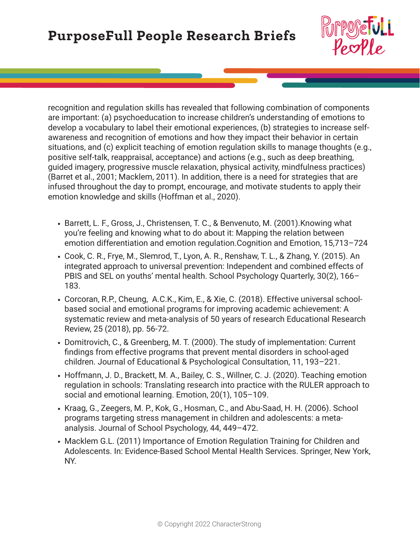

recognition and regulation skills has revealed that following combination of components are important: (a) psychoeducation to increase children's understanding of emotions to develop a vocabulary to label their emotional experiences, (b) strategies to increase selfawareness and recognition of emotions and how they impact their behavior in certain situations, and (c) explicit teaching of emotion regulation skills to manage thoughts (e.g., positive self-talk, reappraisal, acceptance) and actions (e.g., such as deep breathing, guided imagery, progressive muscle relaxation, physical activity, mindfulness practices) (Barret et al., 2001; Macklem, 2011). In addition, there is a need for strategies that are infused throughout the day to prompt, encourage, and motivate students to apply their emotion knowledge and skills (Hoffman et al., 2020).

- **•** Barrett, L. F., Gross, J., Christensen, T. C., & Benvenuto, M. (2001).Knowing what you're feeling and knowing what to do about it: Mapping the relation between emotion differentiation and emotion regulation.Cognition and Emotion, 15,713–724
- **•** Cook, C. R., Frye, M., Slemrod, T., Lyon, A. R., Renshaw, T. L., & Zhang, Y. (2015). An integrated approach to universal prevention: Independent and combined effects of PBIS and SEL on youths' mental health. School Psychology Quarterly, 30(2), 166– 183.
- **•** Corcoran, R.P., Cheung, A.C.K., Kim, E., & Xie, C. (2018). Effective universal schoolbased social and emotional programs for improving academic achievement: A systematic review and meta-analysis of 50 years of research Educational Research Review, 25 (2018), pp. 56-72.
- **•** Domitrovich, C., & Greenberg, M. T. (2000). The study of implementation: Current findings from effective programs that prevent mental disorders in school-aged children. Journal of Educational & Psychological Consultation, 11, 193–221.
- **•** Hoffmann, J. D., Brackett, M. A., Bailey, C. S., Willner, C. J. (2020). Teaching emotion regulation in schools: Translating research into practice with the RULER approach to social and emotional learning. Emotion, 20(1), 105–109.
- **•** Kraag, G., Zeegers, M. P., Kok, G., Hosman, C., and Abu-Saad, H. H. (2006). School programs targeting stress management in children and adolescents: a metaanalysis. Journal of School Psychology, 44, 449–472.
- **•** Macklem G.L. (2011) Importance of Emotion Regulation Training for Children and Adolescents. In: Evidence-Based School Mental Health Services. Springer, New York, NY.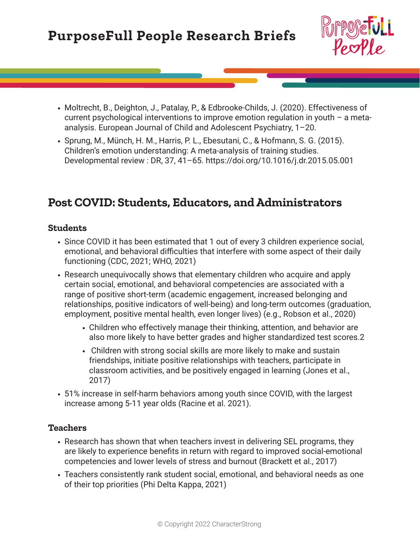

- **•** Moltrecht, B., Deighton, J., Patalay, P., & Edbrooke-Childs, J. (2020). Effectiveness of current psychological interventions to improve emotion regulation in youth – a metaanalysis. European Journal of Child and Adolescent Psychiatry, 1–20.
- **•** Sprung, M., Münch, H. M., Harris, P. L., Ebesutani, C., & Hofmann, S. G. (2015). Children's emotion understanding: A meta-analysis of training studies. Developmental review : DR, 37, 41–65. https://doi.org/10.1016/j.dr.2015.05.001

# **Post COVID: Students, Educators, and Administrators**

## **Students**

- **•** Since COVID it has been estimated that 1 out of every 3 children experience social, emotional, and behavioral difficulties that interfere with some aspect of their daily functioning (CDC, 2021; WHO, 2021)
- **•** Research unequivocally shows that elementary children who acquire and apply certain social, emotional, and behavioral competencies are associated with a range of positive short-term (academic engagement, increased belonging and relationships, positive indicators of well-being) and long-term outcomes (graduation, employment, positive mental health, even longer lives) (e.g., Robson et al., 2020)
	- **•** Children who effectively manage their thinking, attention, and behavior are also more likely to have better grades and higher standardized test scores.2
	- **•** Children with strong social skills are more likely to make and sustain friendships, initiate positive relationships with teachers, participate in classroom activities, and be positively engaged in learning (Jones et al., 2017)
- **•** 51% increase in self-harm behaviors among youth since COVID, with the largest increase among 5-11 year olds (Racine et al. 2021).

## **Teachers**

- **•** Research has shown that when teachers invest in delivering SEL programs, they are likely to experience benefits in return with regard to improved social-emotional competencies and lower levels of stress and burnout (Brackett et al., 2017)
- **•** Teachers consistently rank student social, emotional, and behavioral needs as one of their top priorities (Phi Delta Kappa, 2021)